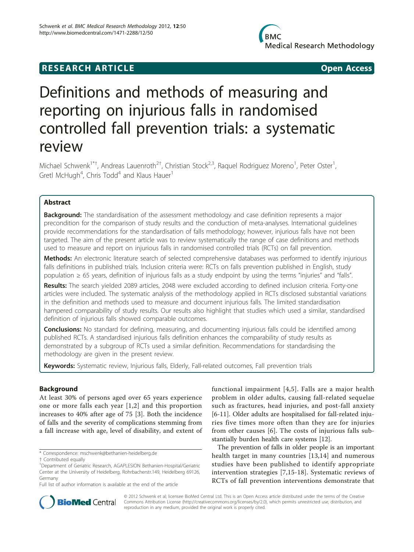# Definitions and methods of measuring and reporting on injurious falls in randomised controlled fall prevention trials: a systematic review

Michael Schwenk<sup>1\*†</sup>, Andreas Lauenroth<sup>2†</sup>, Christian Stock<sup>2,3</sup>, Raquel Rodriguez Moreno<sup>1</sup>, Peter Oster<sup>1</sup> , Gretl McHugh<sup>4</sup>, Chris Todd<sup>4</sup> and Klaus Hauer<sup>1</sup>

# Abstract

**Background:** The standardisation of the assessment methodology and case definition represents a major precondition for the comparison of study results and the conduction of meta-analyses. International guidelines provide recommendations for the standardisation of falls methodology; however, injurious falls have not been targeted. The aim of the present article was to review systematically the range of case definitions and methods used to measure and report on injurious falls in randomised controlled trials (RCTs) on fall prevention.

Methods: An electronic literature search of selected comprehensive databases was performed to identify injurious falls definitions in published trials. Inclusion criteria were: RCTs on falls prevention published in English, study population ≥ 65 years, definition of injurious falls as a study endpoint by using the terms "injuries" and "falls".

Results: The search yielded 2089 articles, 2048 were excluded according to defined inclusion criteria. Forty-one articles were included. The systematic analysis of the methodology applied in RCTs disclosed substantial variations in the definition and methods used to measure and document injurious falls. The limited standardisation hampered comparability of study results. Our results also highlight that studies which used a similar, standardised definition of injurious falls showed comparable outcomes.

**Conclusions:** No standard for defining, measuring, and documenting injurious falls could be identified among published RCTs. A standardised injurious falls definition enhances the comparability of study results as demonstrated by a subgroup of RCTs used a similar definition. Recommendations for standardising the methodology are given in the present review.

Keywords: Systematic review, Injurious falls, Elderly, Fall-related outcomes, Fall prevention trials

# Background

At least 30% of persons aged over 65 years experience one or more falls each year [[1,2\]](#page-11-0) and this proportion increases to 40% after age of 75 [[3\]](#page-11-0). Both the incidence of falls and the severity of complications stemming from a fall increase with age, level of disability, and extent of functional impairment [[4](#page-11-0),[5\]](#page-11-0). Falls are a major health problem in older adults, causing fall-related sequelae such as fractures, head injuries, and post-fall anxiety [[6-11](#page-11-0)]. Older adults are hospitalised for fall-related injuries five times more often than they are for injuries from other causes [\[6](#page-11-0)]. The costs of injurious falls substantially burden health care systems [\[12](#page-11-0)].

The prevention of falls in older people is an important health target in many countries [\[13,14](#page-11-0)] and numerous studies have been published to identify appropriate intervention strategies [[7,15](#page-11-0)-[18\]](#page-11-0). Systematic reviews of RCTs of fall prevention interventions demonstrate that



© 2012 Schwenk et al; licensee BioMed Central Ltd. This is an Open Access article distributed under the terms of the Creative Commons Attribution License [\(http://creativecommons.org/licenses/by/2.0](http://creativecommons.org/licenses/by/2.0)), which permits unrestricted use, distribution, and reproduction in any medium, provided the original work is properly cited.

<sup>\*</sup> Correspondence: [mschwenk@bethanien-heidelberg.de](mailto:mschwenk@bethanien-heidelberg.de)

<sup>†</sup> Contributed equally <sup>1</sup>

Department of Geriatric Research, AGAPLESION Bethanien-Hospital/Geriatric Center at the University of Heidelberg, Rohrbacherstr.149, Heidelberg 69126, Germany

Full list of author information is available at the end of the article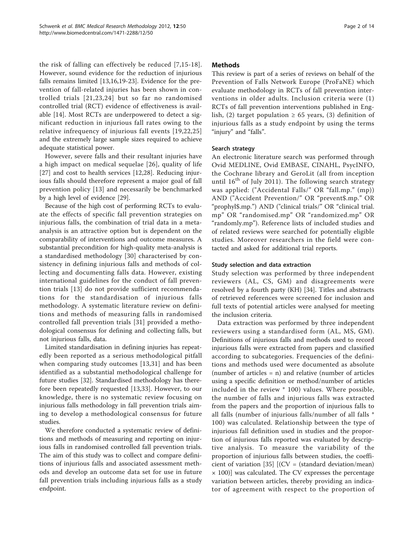the risk of falling can effectively be reduced [\[7,15](#page-11-0)-[18](#page-11-0)]. However, sound evidence for the reduction of injurious falls remains limited [\[13,16,19-23](#page-11-0)]. Evidence for the prevention of fall-related injuries has been shown in controlled trials [[21](#page-11-0),[23,24\]](#page-11-0) but so far no randomised controlled trial (RCT) evidence of effectiveness is available [[14\]](#page-11-0). Most RCTs are underpowered to detect a significant reduction in injurious fall rates owing to the relative infrequency of injurious fall events [[19,22,25](#page-11-0)] and the extremely large sample sizes required to achieve adequate statistical power.

However, severe falls and their resultant injuries have a high impact on medical sequelae [[26\]](#page-11-0), quality of life [[27\]](#page-12-0) and cost to health services [\[12](#page-11-0),[28\]](#page-12-0). Reducing injurious falls should therefore represent a major goal of fall prevention policy [[13\]](#page-11-0) and necessarily be benchmarked by a high level of evidence [\[29](#page-12-0)].

Because of the high cost of performing RCTs to evaluate the effects of specific fall prevention strategies on injurious falls, the combination of trial data in a metaanalysis is an attractive option but is dependent on the comparability of interventions and outcome measures. A substantial precondition for high-quality meta-analysis is a standardised methodology [[30\]](#page-12-0) characterised by consistency in defining injurious falls and methods of collecting and documenting falls data. However, existing international guidelines for the conduct of fall prevention trials [[13](#page-11-0)] do not provide sufficient recommendations for the standardisation of injurious falls methodology. A systematic literature review on definitions and methods of measuring falls in randomised controlled fall prevention trials [\[31](#page-12-0)] provided a methodological consensus for defining and collecting falls, but not injurious falls, data.

Limited standardisation in defining injuries has repeatedly been reported as a serious methodological pitfall when comparing study outcomes [[13](#page-11-0)[,31\]](#page-12-0) and has been identified as a substantial methodological challenge for future studies [\[32\]](#page-12-0). Standardised methodology has therefore been repeatedly requested [\[13](#page-11-0),[33](#page-12-0)]. However, to our knowledge, there is no systematic review focusing on injurious falls methodology in fall prevention trials aiming to develop a methodological consensus for future studies.

We therefore conducted a systematic review of definitions and methods of measuring and reporting on injurious falls in randomised controlled fall prevention trials. The aim of this study was to collect and compare definitions of injurious falls and associated assessment methods and develop an outcome data set for use in future fall prevention trials including injurious falls as a study endpoint.

# Methods

This review is part of a series of reviews on behalf of the Prevention of Falls Network Europe (ProFaNE) which evaluate methodology in RCTs of fall prevention interventions in older adults. Inclusion criteria were (1) RCTs of fall prevention interventions published in English, (2) target population  $\geq 65$  years, (3) definition of injurious falls as a study endpoint by using the terms "injury" and "falls".

# Search strategy

An electronic literature search was performed through Ovid MEDLINE, Ovid EMBASE, CINAHL, PsycINFO, the Cochrane library and GeroLit (all from inception until  $16^{th}$  of July 2011). The following search strategy was applied: ("Accidental Falls/" OR "fall.mp." (mp)) AND ("Accident Prevention/" OR "prevent\$.mp." OR "prophyl\$.mp.") AND ("clinical trials/" OR "clinical trial. mp" OR "randomised.mp" OR "randomized.mp" OR "randomly.mp"). Reference lists of included studies and of related reviews were searched for potentially eligible studies. Moreover researchers in the field were contacted and asked for additional trial reports.

# Study selection and data extraction

Study selection was performed by three independent reviewers (AL, CS, GM) and disagreements were resolved by a fourth party (KH) [[34](#page-12-0)]. Titles and abstracts of retrieved references were screened for inclusion and full texts of potential articles were analysed for meeting the inclusion criteria.

Data extraction was performed by three independent reviewers using a standardised form (AL, MS, GM). Definitions of injurious falls and methods used to record injurious falls were extracted from papers and classified according to subcategories. Frequencies of the definitions and methods used were documented as absolute (number of articles  $= n$ ) and relative (number of articles using a specific definition or method/number of articles included in the review \* 100) values. Where possible, the number of falls and injurious falls was extracted from the papers and the proportion of injurious falls to all falls (number of injurious falls/number of all falls \* 100) was calculated. Relationship between the type of injurious fall definition used in studies and the proportion of injurious falls reported was evaluated by descriptive analysis. To measure the variability of the proportion of injurious falls between studies, the coeffi-cient of variation [[35\]](#page-12-0)  $[CCV = (standard deviation/mean)$  $\times$  100)] was calculated. The CV expresses the percentage variation between articles, thereby providing an indicator of agreement with respect to the proportion of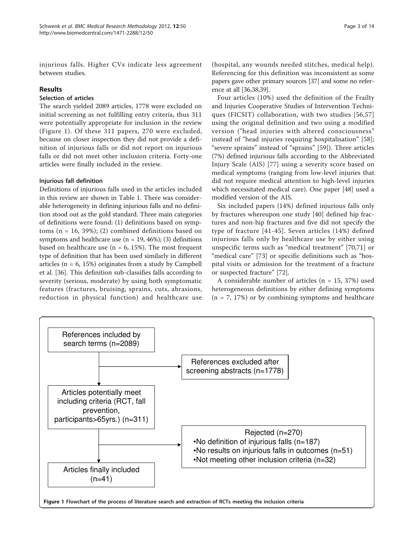injurious falls. Higher CVs indicate less agreement between studies.

# Results

### Selection of articles

The search yielded 2089 articles, 1778 were excluded on initial screening as not fulfilling entry criteria, thus 311 were potentially appropriate for inclusion in the review (Figure 1). Of these 311 papers, 270 were excluded, because on closer inspection they did not provide a definition of injurious falls or did not report on injurious falls or did not meet other inclusion criteria. Forty-one articles were finally included in the review.

#### Injurious fall definition

Definitions of injurious falls used in the articles included in this review are shown in Table [1.](#page-3-0) There was considerable heterogeneity in defining injurious falls and no definition stood out as the gold standard. Three main categories of definitions were found: (1) definitions based on symptoms ( $n = 16$ , 39%); (2) combined definitions based on symptoms and healthcare use ( $n = 19, 46\%$ ); (3) definitions based on healthcare use ( $n = 6$ , 15%). The most frequent type of definition that has been used similarly in different articles ( $n = 6$ , 15%) originates from a study by Campbell et al. [\[36](#page-12-0)]. This definition sub-classifies falls according to severity (serious, moderate) by using both symptomatic features (fractures, bruising, sprains, cuts, abrasions, reduction in physical function) and healthcare use (hospital, any wounds needed stitches, medical help). Referencing for this definition was inconsistent as some papers gave other primary sources [\[37\]](#page-12-0) and some no reference at all [[36,38,39](#page-12-0)].

Four articles (10%) used the definition of the Frailty and Injuries Cooperative Studies of Intervention Techniques (FICSIT) collaboration, with two studies [[56,57](#page-12-0)] using the original definition and two using a modified version ("head injuries with altered consciousness" instead of "head injuries requiring hospitalisation" [\[58](#page-12-0)]; "severe sprains" instead of "sprains" [[59\]](#page-12-0)). Three articles (7%) defined injurious falls according to the Abbreviated Injury Scale (AIS) [[77](#page-13-0)] using a severity score based on medical symptoms (ranging from low-level injuries that did not require medical attention to high-level injuries which necessitated medical care). One paper [[48\]](#page-12-0) used a modified version of the AIS.

Six included papers (14%) defined injurious falls only by fractures whereupon one study [\[40\]](#page-12-0) defined hip fractures and non-hip fractures and five did not specify the type of fracture [\[41-45](#page-12-0)]. Seven articles (14%) defined injurious falls only by healthcare use by either using unspecific terms such as "medical treatment" [[70,71](#page-13-0)] or "medical care" [[73\]](#page-13-0) or specific definitions such as "hospital visits or admission for the treatment of a fracture or suspected fracture" [\[72\]](#page-13-0).

A considerable number of articles ( $n = 15$ , 37%) used heterogeneous definitions by either defining symptoms  $(n = 7, 17%)$  or by combining symptoms and healthcare

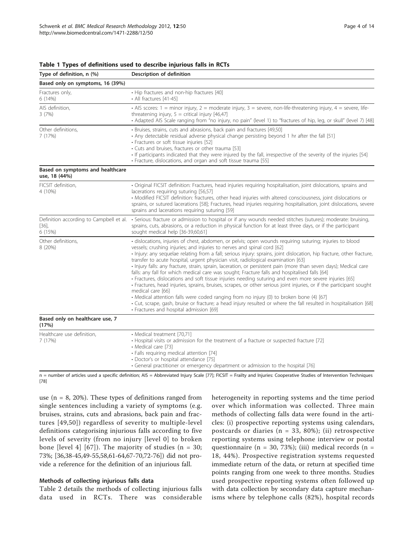| Type of definition, n (%)                         | Description of definition                                                                                                                                                                                                                                                                                                                                                                                                                                                                                                                                                                                                                                                                                                                                                                                                                                                                                                                                                                                                                                                                                                                   |
|---------------------------------------------------|---------------------------------------------------------------------------------------------------------------------------------------------------------------------------------------------------------------------------------------------------------------------------------------------------------------------------------------------------------------------------------------------------------------------------------------------------------------------------------------------------------------------------------------------------------------------------------------------------------------------------------------------------------------------------------------------------------------------------------------------------------------------------------------------------------------------------------------------------------------------------------------------------------------------------------------------------------------------------------------------------------------------------------------------------------------------------------------------------------------------------------------------|
| Based only on symptoms, 16 (39%)                  |                                                                                                                                                                                                                                                                                                                                                                                                                                                                                                                                                                                                                                                                                                                                                                                                                                                                                                                                                                                                                                                                                                                                             |
| Fractures only,<br>6(14%)                         | • Hip fractures and non-hip fractures [40]<br>• All fractures [41-45]                                                                                                                                                                                                                                                                                                                                                                                                                                                                                                                                                                                                                                                                                                                                                                                                                                                                                                                                                                                                                                                                       |
| AIS definition,<br>3(7%)                          | • AlS scores: $1 =$ minor injury, $2 =$ moderate injury, $3 =$ severe, non-life-threatening injury, $4 =$ severe, life-<br>threatening injury, $5 =$ critical injury $[46,47]$<br>· Adapted AIS Scale ranging from "no injury, no pain" (level 1) to "fractures of hip, leg, or skull" (level 7) [48]                                                                                                                                                                                                                                                                                                                                                                                                                                                                                                                                                                                                                                                                                                                                                                                                                                       |
| Other definitions,<br>7 (17%)                     | · Bruises, strains, cuts and abrasions, back pain and fractures [49,50]<br>· Any detectable residual adverse physical change persisting beyond 1 hr after the fall [51]<br>· Fractures or soft tissue injuries [52]<br>• Cuts and bruises, fractures or other trauma [53]<br>· If participants indicated that they were injured by the fall, irrespective of the severity of the injuries [54]<br>· Fracture, dislocations, and organ and soft tissue trauma [55]                                                                                                                                                                                                                                                                                                                                                                                                                                                                                                                                                                                                                                                                           |
| Based on symptoms and healthcare<br>use, 18 (44%) |                                                                                                                                                                                                                                                                                                                                                                                                                                                                                                                                                                                                                                                                                                                                                                                                                                                                                                                                                                                                                                                                                                                                             |
| FICSIT definition,<br>4 (10%)                     | · Original FICSIT definition: Fractures, head injuries requiring hospitalisation, joint dislocations, sprains and<br>lacerations requiring suturing [56,57]<br>• Modified FICSIT definition: fractures, other head injuries with altered consciousness, joint dislocations or<br>sprains, or sutured lacerations [58]; Fractures, head injuries requiring hospitalisation, joint dislocations, severe<br>sprains and lacerations requiring suturing [59]                                                                                                                                                                                                                                                                                                                                                                                                                                                                                                                                                                                                                                                                                    |
| $[36],$<br>6 (15%)                                | Definition according to Campbell et al. • Serious: fracture or admission to hospital or if any wounds needed stitches (sutures); moderate: bruising,<br>sprains, cuts, abrasions, or a reduction in physical function for at least three days, or if the participant<br>sought medical help [36-39,60,61]                                                                                                                                                                                                                                                                                                                                                                                                                                                                                                                                                                                                                                                                                                                                                                                                                                   |
| Other definitions,<br>8 (20%)                     | · dislocations, injuries of chest, abdomen, or pelvis; open wounds requiring suturing; injuries to blood<br>vessels; crushing injuries; and injuries to nerves and spinal cord [62]<br>· Injury: any sequelae relating from a fall; serious injury: sprains, joint dislocation, hip fracture, other fracture,<br>transfer to acute hospital, urgent physician visit, radiological examination [63]<br>· Injury falls: any fracture, strain, sprain, laceration, or persistent pain (more than seven days); Medical care<br>falls: any fall for which medical care was sought; Fracture falls and hospitalised falls [64]<br>· Fractures, dislocations and soft tissue injuries needing suturing and even more severe injuries [65]<br>· Fractures, head injuries, sprains, bruises, scrapes, or other serious joint injuries, or if the participant sought<br>medical care [66]<br>• Medical attention falls were coded ranging from no injury (0) to broken bone (4) [67]<br>· Cut, scrape, gash, bruise or fracture; a head injury resulted or where the fall resulted in hospitalisation [68]<br>· Fractures and hospital admission [69] |
| Based only on healthcare use, 7<br>(17%)          |                                                                                                                                                                                                                                                                                                                                                                                                                                                                                                                                                                                                                                                                                                                                                                                                                                                                                                                                                                                                                                                                                                                                             |
| Healthcare use definition,<br>7 (17%)             | • Medical treatment [70,71]<br>· Hospital visits or admission for the treatment of a fracture or suspected fracture [72]<br>• Medical care [73]<br>· Falls requiring medical attention [74]<br>· Doctor's or hospital attendance [75]<br>• General practitioner or emergency department or admission to the hospital [76]                                                                                                                                                                                                                                                                                                                                                                                                                                                                                                                                                                                                                                                                                                                                                                                                                   |

<span id="page-3-0"></span>Table 1 Types of definitions used to describe injurious falls in RCTs

n = number of articles used a specific definition; AIS = Abbreviated Injury Scale [\[77](#page-13-0)]; FICSIT = Frailty and Injuries: Cooperative Studies of Intervention Techniques [[78\]](#page-13-0)

use ( $n = 8$ , 20%). These types of definitions ranged from single sentences including a variety of symptoms (e.g. bruises, strains, cuts and abrasions, back pain and fractures [[49](#page-12-0),[50](#page-12-0)]) regardless of severity to multiple-level definitions categorising injurious falls according to five levels of severity (from no injury [level 0] to broken bone [level 4] [[67](#page-12-0)]). The majority of studies ( $n = 30$ ; 73%; [[36,38-45,49-55,58,61](#page-12-0)-[64,67-](#page-12-0)[70,72-76](#page-13-0)]) did not provide a reference for the definition of an injurious fall.

#### Methods of collecting injurious falls data

Table [2](#page-4-0) details the methods of collecting injurious falls data used in RCTs. There was considerable heterogeneity in reporting systems and the time period over which information was collected. Three main methods of collecting falls data were found in the articles: (i) prospective reporting systems using calendars, postcards or diaries ( $n = 33, 80\%$ ); (ii) retrospective reporting systems using telephone interview or postal questionnaire (n = 30, 73%); (iii) medical records (n = 18, 44%). Prospective registration systems requested immediate return of the data, or return at specified time points ranging from one week to three months. Studies used prospective reporting systems often followed up with data collection by secondary data capture mechanisms where by telephone calls (82%), hospital records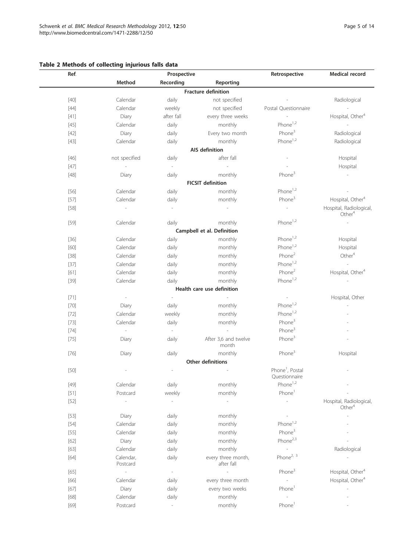# <span id="page-4-0"></span>Table 2 Methods of collecting injurious falls data

| Ref.                                       |                                           | Prospective              |                                                            |                                                                | Medical record                                               |
|--------------------------------------------|-------------------------------------------|--------------------------|------------------------------------------------------------|----------------------------------------------------------------|--------------------------------------------------------------|
|                                            | Method                                    | Recording                | Reporting                                                  |                                                                |                                                              |
|                                            |                                           |                          | <b>Fracture definition</b>                                 |                                                                |                                                              |
| $[40]$                                     | Calendar                                  | daily                    | not specified                                              |                                                                | Radiological                                                 |
| $[44]$                                     | Calendar                                  | weekly                   | not specified                                              | Postal Questionnaire                                           | $\sim$                                                       |
| $[41]$                                     | Diary                                     | after fall               | every three weeks                                          | $\sim$                                                         | Hospital, Other <sup>4</sup>                                 |
| $[45]$                                     | Calendar                                  | daily                    | monthly                                                    | Phone <sup>1,2</sup>                                           | $\sim$                                                       |
| $[42]$                                     | Diary                                     | daily                    | Every two month                                            | Phone <sup>3</sup>                                             | Radiological                                                 |
| $[43]$                                     | Calendar                                  | daily                    | monthly                                                    | Phone <sup>1,2</sup>                                           | Radiological                                                 |
|                                            |                                           |                          | AIS definition                                             |                                                                |                                                              |
| $[46]$                                     | not specified                             | daily                    | after fall                                                 |                                                                | Hospital                                                     |
| $[47]$                                     | $\sim$                                    | $\sim$                   | $\sim$                                                     |                                                                | Hospital                                                     |
| $[48]$                                     | Diary                                     | daily                    | monthly                                                    | Phone <sup>3</sup>                                             | $\sim$                                                       |
|                                            |                                           |                          | <b>FICSIT definition</b>                                   |                                                                |                                                              |
| $[56]$                                     | Calendar                                  | daily                    | monthly                                                    | Phone <sup>1,2</sup>                                           |                                                              |
| $[57]$                                     | Calendar                                  | daily                    | monthly                                                    | Phone <sup>3</sup>                                             | Hospital, Other <sup>4</sup>                                 |
| $[58]$                                     | $\sim$                                    | $\overline{\phantom{a}}$ | $\overline{\phantom{a}}$                                   | $\overline{\phantom{a}}$                                       | Hospital, Radiological,                                      |
|                                            |                                           |                          |                                                            |                                                                | Other <sup>4</sup>                                           |
| $[59]$                                     | Calendar                                  | daily                    | monthly                                                    | Phone <sup>1,2</sup>                                           | $\overline{\phantom{a}}$                                     |
|                                            |                                           |                          | Campbell et al. Definition                                 |                                                                |                                                              |
| $[36]$                                     | Calendar                                  | daily                    | monthly                                                    | Phone <sup>1,2</sup>                                           | Hospital                                                     |
| $[60]$                                     | Calendar                                  | daily                    | monthly                                                    | Phone <sup>1,2</sup>                                           | Hospital                                                     |
| $[38]$                                     | Calendar                                  | daily                    | monthly                                                    | Phone <sup>2</sup>                                             | Other <sup>4</sup>                                           |
| $[37]$                                     | Calendar                                  | daily                    | monthly                                                    | Phone <sup>1,2</sup>                                           | $\sim$                                                       |
| $[61]$                                     | Calendar                                  | daily                    | monthly                                                    | Phone <sup>2</sup>                                             | Hospital, Other <sup>4</sup>                                 |
| $[39]$                                     | Calendar                                  | daily                    | monthly                                                    | Phone <sup>1,2</sup>                                           |                                                              |
|                                            |                                           |                          | Health care use definition                                 |                                                                |                                                              |
| $[71]$                                     | $\overline{\phantom{a}}$                  | $\mathcal{L}$            |                                                            | $\overline{\phantom{a}}$                                       | Hospital, Other                                              |
| $[70]$                                     | Diary                                     | daily                    | monthly                                                    | Phone <sup>1,2</sup>                                           |                                                              |
| $[72]$                                     | Calendar                                  | weekly                   | monthly                                                    | Phone <sup>1,2</sup>                                           |                                                              |
| $[73]$                                     | Calendar                                  | daily                    | monthly                                                    | Phone <sup>3</sup>                                             |                                                              |
| $[74]$                                     | $\overline{\phantom{a}}$                  | $\sim$                   |                                                            | Phone <sup>3</sup>                                             |                                                              |
| $[75]$                                     | Diary                                     | daily                    | After 3,6 and twelve                                       | Phone <sup>3</sup>                                             |                                                              |
|                                            |                                           |                          | month                                                      |                                                                |                                                              |
| $[76]$                                     | Diary                                     | daily                    | monthly                                                    | Phone <sup>3</sup>                                             | Hospital                                                     |
|                                            |                                           |                          | <b>Other definitions</b>                                   |                                                                |                                                              |
| $[50]$                                     |                                           |                          |                                                            | Phone <sup>1</sup> , Postal<br>Questionnaire                   |                                                              |
| $[49]$                                     | Calendar                                  | daily                    | monthly                                                    | $Phone^{1,2}$                                                  |                                                              |
| $[51]$                                     | Postcard                                  | weekly                   | monthly                                                    | Phone <sup>1</sup>                                             |                                                              |
| $[52]$                                     |                                           |                          |                                                            |                                                                | Hospital, Radiological,<br>Other $4$                         |
| $[53]$                                     | Diary                                     | daily                    | monthly                                                    |                                                                |                                                              |
| $[54]$                                     | Calendar                                  | daily                    | monthly                                                    | Phone <sup>1,2</sup>                                           |                                                              |
| $[55]$                                     | Calendar                                  | daily                    | monthly                                                    | Phone <sup>3</sup>                                             |                                                              |
| $[62]$                                     | Diary                                     | daily                    | monthly                                                    | Phone <sup>2,3</sup>                                           |                                                              |
| $[63]$                                     | Calendar                                  | daily                    | monthly                                                    |                                                                | Radiological                                                 |
| $[64]$                                     | Calendar,<br>Postcard                     | daily                    | every three month,<br>after fall                           | Phone <sup>2, 3</sup>                                          |                                                              |
|                                            |                                           | $\overline{\phantom{a}}$ |                                                            |                                                                |                                                              |
|                                            |                                           |                          |                                                            |                                                                |                                                              |
|                                            |                                           |                          |                                                            |                                                                |                                                              |
|                                            |                                           |                          |                                                            | J.                                                             |                                                              |
|                                            |                                           |                          |                                                            |                                                                |                                                              |
| $[65]$<br>$[66]$<br>$[67]$<br>[68]<br>[69] | Calendar<br>Diary<br>Calendar<br>Postcard | daily<br>daily<br>daily  | every three month<br>every two weeks<br>monthly<br>monthly | Phone <sup>3</sup><br>Phone <sup>1</sup><br>Phone <sup>1</sup> | Hospital, Other <sup>4</sup><br>Hospital, Other <sup>4</sup> |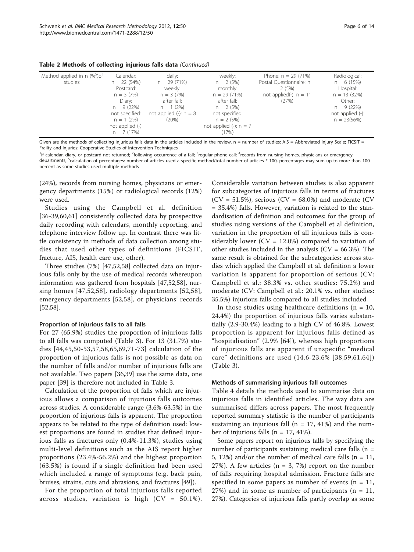| Table 2 Methods of collecting injurious falls data (Continued) |  |  |  |
|----------------------------------------------------------------|--|--|--|
|----------------------------------------------------------------|--|--|--|

Given are the methods of collecting injurious falls data in the articles included in the review. n = number of studies; AIS = Abbreviated Injury Scale; FICSIT = Frailty and Injuries: Cooperative Studies of Intervention Techniques

<sup>1</sup>if calendar, diary, or postcard not returned; <sup>2</sup>following occurrence of a fall; <sup>3</sup>regular phone call; <sup>4</sup>records from nursing homes, physicians or emergency departments; <sup>5</sup>calculation of percentages: number of articles used a specific method/total number of articles \* 100, percentages may sum up to more than 100 percent as some studies used multiple methods

(24%), records from nursing homes, physicians or emergency departments (15%) or radiological records (12%) were used.

Studies using the Campbell et al. definition [[36](#page-12-0)-[39,60,61](#page-12-0)] consistently collected data by prospective daily recording with calendars, monthly reporting, and telephone interview follow up. In contrast there was little consistency in methods of data collection among studies that used other types of definitions (FICSIT, fracture, AIS, health care use, other).

Three studies (7%) [\[47](#page-12-0),[52,58\]](#page-12-0) collected data on injurious falls only by the use of medical records whereupon information was gathered from hospitals [\[47,52,58\]](#page-12-0), nursing homes [[47,52,58](#page-12-0)], radiology departments [[52](#page-12-0),[58\]](#page-12-0), emergency departments [[52,58](#page-12-0)], or physicians' records [[52,58\]](#page-12-0).

#### Proportion of injurious falls to all falls

For 27 (65.9%) studies the proportion of injurious falls to all falls was computed (Table [3\)](#page-6-0). For 13 (31.7%) studies [[44,45,50](#page-12-0)-[53](#page-12-0),[57,58,65](#page-12-0),[69,71-73\]](#page-13-0) calculation of the proportion of injurious falls is not possible as data on the number of falls and/or number of injurious falls are not available. Two papers [\[36,39](#page-12-0)] use the same data, one paper [[39\]](#page-12-0) is therefore not included in Table [3.](#page-6-0)

Calculation of the proportion of falls which are injurious allows a comparison of injurious falls outcomes across studies. A considerable range (3.6%-63.5%) in the proportion of injurious falls is apparent. The proportion appears to be related to the type of definition used: lowest proportions are found in studies that defined injurious falls as fractures only (0.4%-11.3%), studies using multi-level definitions such as the AIS report higher proportions (23.4%-56.2%) and the highest proportion (63.5%) is found if a single definition had been used which included a range of symptoms (e.g. back pain, bruises, strains, cuts and abrasions, and fractures [\[49\]](#page-12-0)).

For the proportion of total injurious falls reported across studies, variation is high (CV = 50.1%).

Considerable variation between studies is also apparent for subcategories of injurious falls in terms of fractures  $(CV = 51.5\%)$ , serious  $(CV = 68.0\%)$  and moderate  $(CV)$ = 35.4%) falls. However, variation is related to the standardisation of definition and outcomes: for the group of studies using versions of the Campbell et al definition, variation in the proportion of all injurious falls is considerably lower ( $CV = 12.0\%$ ) compared to variation of other studies included in the analysis ( $CV = 66.3\%$ ). The same result is obtained for the subcategories: across studies which applied the Campbell et al. definition a lower variation is apparent for proportion of serious (CV: Campbell et al.: 38.3% vs. other studies: 75.2%) and moderate (CV: Campbell et al.: 20.1% vs. other studies: 35.5%) injurious falls compared to all studies included.

In those studies using healthcare definitions ( $n = 10$ , 24.4%) the proportion of injurious falls varies substantially (2.9-30.4%) leading to a high CV of 46.8%. Lowest proportion is apparent for injurious falls defined as "hospitalisation" (2.9% [[64](#page-12-0)]), whereas high proportions of injurious falls are apparent if unspecific "medical care" definitions are used (14.6-23.6% [[38](#page-12-0),[59,61,64\]](#page-12-0)) (Table [3\)](#page-6-0).

#### Methods of summarising injurious fall outcomes

Table [4](#page-7-0) details the methods used to summarise data on injurious falls in identified articles. The way data are summarised differs across papers. The most frequently reported summary statistic is the number of participants sustaining an injurious fall ( $n = 17, 41\%$ ) and the number of injurious falls ( $n = 17, 41\%$ ).

Some papers report on injurious falls by specifying the number of participants sustaining medical care falls (n = 5, 12%) and/or the number of medical care falls ( $n = 11$ , 27%). A few articles  $(n = 3, 7%)$  report on the number of falls requiring hospital admission. Fracture falls are specified in some papers as number of events  $(n = 11)$ ,  $27\%$ ) and in some as number of participants (n = 11, 27%). Categories of injurious falls partly overlap as some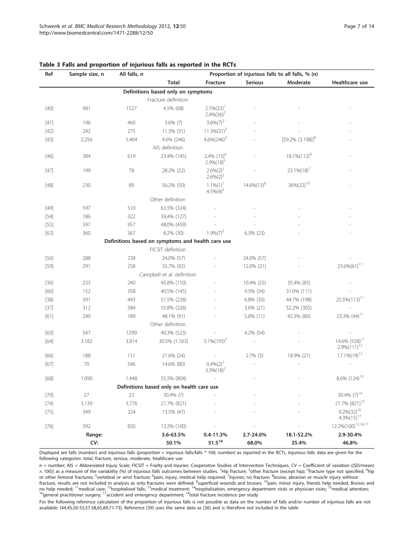| Ref.   | Sample size, n | All falls, n | Proportion of injurious falls to all falls, % (n) |                                     |                |                        |                                                |
|--------|----------------|--------------|---------------------------------------------------|-------------------------------------|----------------|------------------------|------------------------------------------------|
|        |                |              | <b>Total</b>                                      | Fracture                            | <b>Serious</b> | Moderate               | Healthcare use                                 |
|        |                |              | Definitions based only on symptoms                |                                     |                |                        |                                                |
|        |                |              | Fracture definition                               |                                     |                |                        |                                                |
| $[40]$ | 981            | 1527         | 4.5% (68)                                         | $2.1\%(32)^{1}$<br>$2.4\%(36)^2$    |                |                        |                                                |
| $[41]$ | 196            | 460          | $3.6\%$ (7)                                       | $3.6\%(7)^{3}$                      |                |                        |                                                |
| $[42]$ | 242            | 275          | 11.3% (31)                                        | $11.3\%(31)^{3}$                    |                |                        |                                                |
| $[43]$ | 2.256          | 5.404        | 4.6% (246)                                        | $4.6\%(246)^{3}$                    |                | $[59.2\% (3.198)]^{8}$ |                                                |
|        |                |              | AIS definition                                    |                                     |                |                        |                                                |
| $[46]$ | 384            | 619          | 23.4% (145)                                       | $2.4\%$ $(15)^4$<br>$2.9\%(18)^{5}$ |                | $18.1\%(112)^{9}$      |                                                |
| $[47]$ | 199            | 78           | 28.2% (22)                                        | $2.6\%(2)^{1}$<br>$2.6\%(2)^2$      |                | $23.1\%(18)'$          |                                                |
| $[48]$ | 230            | 89           | 56.2% (50)                                        | $1.1\%(1)^{1}$<br>$4.5\%(4)^2$      | $14.6\%(13)^6$ | 36%(32) <sup>10</sup>  |                                                |
|        |                |              | Other definition                                  |                                     |                |                        |                                                |
| $[49]$ | 597            | 510          | 63.5% (324)                                       |                                     |                |                        |                                                |
| $[54]$ | 186            | 322          | 39,4% (127)                                       |                                     |                |                        |                                                |
| $[55]$ | 597            | 957          | 48,0% (459)                                       |                                     |                |                        |                                                |
| [62]   | 360            | 367          | 8.2% (30)                                         | $1.9\%(7)^{3}$                      | $6.3\%$ (23)   |                        |                                                |
|        |                |              | Definitions based on symptoms and health care use |                                     |                |                        |                                                |
|        |                |              | FICSIT definition                                 |                                     |                |                        |                                                |
| $[56]$ | 288            | 238          | 24.0% (57)                                        |                                     | 24.0% (57)     |                        |                                                |
| $[59]$ | 291            | 258          | 35.7% (92)                                        |                                     | 12.0% (31)     |                        | $23.6\%(61)^{11}$                              |
|        |                |              | Campbell et al. definition                        |                                     |                |                        |                                                |
| $[36]$ | 233            | 240          | 45.8% (110)                                       |                                     | 10.4% (25)     | 35.4% (85)             |                                                |
| [60]   | 152            | 358          | 40.5% (145)                                       |                                     | 9.5% (34)      | 31.0% (111)            |                                                |
| $[38]$ | 391            | 443          | 51.5% (228)                                       |                                     | 6.8% (30)      | 44.7% (198)            | $25.5\%(113)^{11}$                             |
| $[37]$ | 312            | 584          | 55.8% (326)                                       |                                     | 3.6% (21)      | 52.2% (305)            |                                                |
| [61]   | 240            | 189          | 48.1% (91)                                        |                                     | 5.8% (11)      | 42.3% (80)             | 23.3% (44) <sup>11</sup>                       |
|        |                |              | Other definition                                  |                                     |                |                        |                                                |
| $[63]$ | 547            | 1299         | 40.3% (523)                                       |                                     | 4.2% (54)      |                        |                                                |
| $[64]$ | 3.182          | 3.814        | 30.5% (1.163)                                     | $5.1\%(193)^{3}$                    |                |                        | 14.6% (558) <sup>11</sup><br>$2.9\%(111)^{12}$ |
| $[66]$ | 188            | 111          | 21.6% (24)                                        |                                     | $2.7\%$ (3)    | 18.9% (21)             | $17.1\%(19)^{12}$                              |
| $[67]$ | 70             | 546          | 14.6% (80)                                        | $0.4\%(2)^{1}$<br>$3.3\%(18)^2$     |                |                        |                                                |
| $[68]$ | 1.090          | 1.448        | 55.5% (804)                                       |                                     |                |                        | 8.6% (124) <sup>13</sup>                       |
|        |                |              | Definitions based only on health care use         |                                     |                |                        |                                                |
| $[70]$ | 27             | 23           | 30.4% (7)                                         |                                     |                |                        | 30.4% (7) <sup>14</sup>                        |
| $[74]$ | 3.139          | 3.776        | 21.7% (821)                                       |                                     |                |                        | 21.7% (821) <sup>15</sup>                      |
| $[75]$ | 349            | 224          | 13.5% (47)                                        |                                     |                |                        | $9.2\%(32)^{16}$<br>$4.3\%(15)^{17}$           |
| $[76]$ | 392            | 820          | 12.2% (100)                                       |                                     |                |                        | 12.2%(100) <sup>12,16,17</sup>                 |
|        | Range:         |              | 3.6-63.5%                                         | $0.4 - 11.3%$                       | 2.7-24.0%      | 18.1-52.2%             | 2.9-30.4%                                      |
|        | CV:            |              | 50.1%                                             | $51.5^{18}$                         | 68.0%          | 35.4%                  | 46.8%                                          |

#### <span id="page-6-0"></span>Table 3 Falls and proportion of injurious falls as reported in the RCTs

Displayed are falls (number) and injurious falls (proportion = injurious falls/falls \* 100; number) as reported in the RCTs. Injurious falls data are given for the following categories: total, fracture, serious, moderate, healthcare use

n = number; AIS = Abbreviated Injury Scale; FICSIT = Frailty and Injuries: Cooperative Studies of Intervention Techniques. CV = Coefficient of variation [(SD/mean)  $\times$  100]) as a measure of the variability (%) of injurious falls outcomes between studies. <sup>1</sup>Hip fracture; <sup>2</sup>other fracture (except hip); <sup>3</sup>fracture type not specified; <sup>4</sup>hip or other femoral fractures; <sup>5</sup>vertebral or wrist fracture; <sup>6</sup>pain, injury, medical help required; <sup>7</sup>Injuries; no fracture; <sup>8</sup>bruise, abrasion or muscle injury without fracture, results are not included in analysis as only fractures were defined; <sup>9</sup>superficial wounds and bruises; <sup>10</sup>pain, minor injury, friends help needed, Bruises and no help needed; <sup>11</sup>medical care; <sup>12</sup>hospitalised falls; <sup>13</sup>medical treatment; <sup>14</sup>hospitalisation, emergency department visits or physician visits; <sup>15</sup>medical attention;<br><sup>16</sup>general practitioner surgery; <sup>17</sup>accident a

For the following reference calculation of the proportion of injurious falls is not possible as data on the number of falls and/or number of injurious falls are not available: [\[44](#page-12-0),[45,50-53](#page-12-0),[57,58,65](#page-12-0),[69,71-73](#page-13-0)]. Reference [\[39\]](#page-12-0) uses the same data as [\[36\]](#page-12-0) and is therefore not included in the table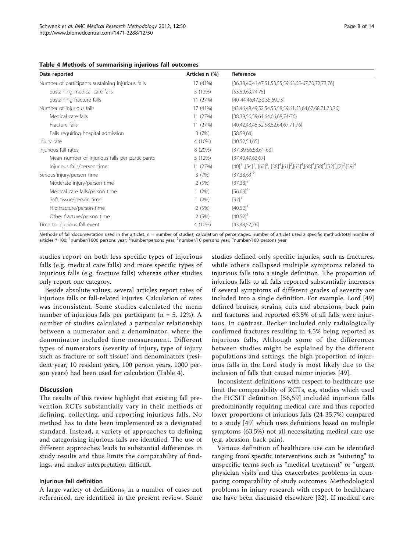<span id="page-7-0"></span>

| Table 4 Methods of summarising injurious fall outcomes |  |  |  |  |
|--------------------------------------------------------|--|--|--|--|
|--------------------------------------------------------|--|--|--|--|

| Data reported                                     | Articles n (%) | Reference                                                                                                                                                                                                                                      |
|---------------------------------------------------|----------------|------------------------------------------------------------------------------------------------------------------------------------------------------------------------------------------------------------------------------------------------|
| Number of participants sustaining injurious falls | 17 (41%)       | [36,38,40,41,47,51,53,55,59,63,65-67,70,72,73,76]                                                                                                                                                                                              |
| Sustaining medical care falls                     | 5(12%)         | [53,59,69,74,75]                                                                                                                                                                                                                               |
| Sustaining fracture falls                         | 11 (27%)       | $[40-44,46,47,53,55,69,75]$                                                                                                                                                                                                                    |
| Number of injurious falls                         | 17 (41%)       | [43,46,48,49,52,54,55,58,59,61,63,64,67,68,71,73,76]                                                                                                                                                                                           |
| Medical care falls                                | 11(27%)        | $[38,39,56,59,61,64,66,68,74-76]$                                                                                                                                                                                                              |
| Fracture falls                                    | 11 (27%)       | [40,42,43,45,52,58,62,64,67,71,76]                                                                                                                                                                                                             |
| Falls requiring hospital admission                | 3(7%)          | [58, 59, 64]                                                                                                                                                                                                                                   |
| Injury rate                                       | 4 (10%)        | [40,52,54,65]                                                                                                                                                                                                                                  |
| Injurious fall rates                              | 8 (20%)        | $[37-39,56,58,61-63]$                                                                                                                                                                                                                          |
| Mean number of injurious falls per participants   | 5(12%)         | [37,40,49,63,67]                                                                                                                                                                                                                               |
| Injurious falls/person time                       | 11 (27%)       | $[40]$ <sup>1</sup> , $[54]$ <sup>1</sup> , $[62]$ <sup>5</sup> , $[38]$ <sup>4</sup> , $[61]$ <sup>2</sup> , $[63]$ <sup>4</sup> , $[68]$ <sup>4</sup> , $[58]$ <sup>4</sup> , $[52]$ <sup>4</sup> , $[2]$ <sup>2</sup> , $[39]$ <sup>4</sup> |
| Serious injury/person time                        | 3(7%)          | $[37,38,63]^{2}$                                                                                                                                                                                                                               |
| Moderate injury/person time                       | 2(5%)          | $[37,38]^{2}$                                                                                                                                                                                                                                  |
| Medical care falls/person time                    | $1(2\%)$       | $[56,68]^{4}$                                                                                                                                                                                                                                  |
| Soft tissue/person time                           | $1(2\%)$       | [52]                                                                                                                                                                                                                                           |
| Hip fracture/person time                          | 2(5%)          | $[40,52]$ <sup>1</sup>                                                                                                                                                                                                                         |
| Other fracture/person time                        | 2(5%)          | $[40,52]$ <sup>1</sup>                                                                                                                                                                                                                         |
| Time to injurious fall event                      | 4 (10%)        | [43, 48, 57, 76]                                                                                                                                                                                                                               |

Methods of fall documentation used in the articles. n = number of studies; calculation of percentages: number of articles used a specific method/total number of articles \* 100; <sup>1</sup>number/1000 persons year; <sup>2</sup>number/persons year; <sup>3</sup>number/10 persons year; <sup>4</sup>number/100 persons year

studies report on both less specific types of injurious falls (e.g. medical care falls) and more specific types of injurious falls (e.g. fracture falls) whereas other studies only report one category.

Beside absolute values, several articles report rates of injurious falls or fall-related injuries. Calculation of rates was inconsistent. Some studies calculated the mean number of injurious falls per participant (n = 5, 12%). A number of studies calculated a particular relationship between a numerator and a denominator, where the denominator included time measurement. Different types of numerators (severity of injury, type of injury such as fracture or soft tissue) and denominators (resident year, 10 resident years, 100 person years, 1000 person years) had been used for calculation (Table 4).

#### **Discussion**

The results of this review highlight that existing fall prevention RCTs substantially vary in their methods of defining, collecting, and reporting injurious falls. No method has to date been implemented as a designated standard. Instead, a variety of approaches to defining and categorising injurious falls are identified. The use of different approaches leads to substantial differences in study results and thus limits the comparability of findings, and makes interpretation difficult.

#### Injurious fall definition

A large variety of definitions, in a number of cases not referenced, are identified in the present review. Some

studies defined only specific injuries, such as fractures, while others collapsed multiple symptoms related to injurious falls into a single definition. The proportion of injurious falls to all falls reported substantially increases if several symptoms of different grades of severity are included into a single definition. For example, Lord [[49](#page-12-0)] defined bruises, strains, cuts and abrasions, back pain and fractures and reported 63.5% of all falls were injurious. In contrast, Becker included only radiologically confirmed fractures resulting in 4.5% being reported as injurious falls. Although some of the differences between studies might be explained by the different populations and settings, the high proportion of injurious falls in the Lord study is most likely due to the inclusion of falls that caused minor injuries [[49](#page-12-0)].

Inconsistent definitions with respect to healthcare use limit the comparability of RCTs, e.g. studies which used the FICSIT definition [[56](#page-12-0),[59](#page-12-0)] included injurious falls predominantly requiring medical care and thus reported lower proportions of injurious falls (24-35.7%) compared to a study [[49](#page-12-0)] which uses definitions based on multiple symptoms (63.5%) not all necessitating medical care use (e.g. abrasion, back pain).

Various definition of healthcare use can be identified ranging from specific interventions such as "suturing" to unspecific terms such as "medical treatment" or "urgent physician visits"and this exacerbates problems in comparing comparability of study outcomes. Methodological problems in injury research with respect to healthcare use have been discussed elsewhere [\[32](#page-12-0)]. If medical care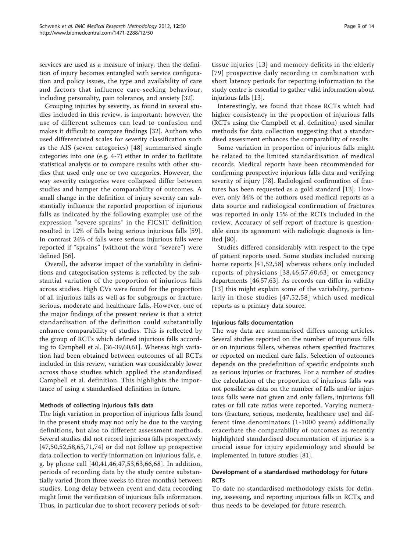services are used as a measure of injury, then the definition of injury becomes entangled with service configuration and policy issues, the type and availability of care and factors that influence care-seeking behaviour, including personality, pain tolerance, and anxiety [[32\]](#page-12-0).

Grouping injuries by severity, as found in several studies included in this review, is important; however, the use of different schemes can lead to confusion and makes it difficult to compare findings [\[32](#page-12-0)]. Authors who used differentiated scales for severity classification such as the AIS (seven categories) [[48](#page-12-0)] summarised single categories into one (e.g. 4-7) either in order to facilitate statistical analysis or to compare results with other studies that used only one or two categories. However, the way severity categories were collapsed differ between studies and hamper the comparability of outcomes. A small change in the definition of injury severity can substantially influence the reported proportion of injurious falls as indicated by the following example: use of the expression "severe sprains" in the FICSIT definition resulted in 12% of falls being serious injurious falls [\[59](#page-12-0)]. In contrast 24% of falls were serious injurious falls were reported if "sprains" (without the word "severe") were defined [[56\]](#page-12-0).

Overall, the adverse impact of the variability in definitions and categorisation systems is reflected by the substantial variation of the proportion of injurious falls across studies. High CVs were found for the proportion of all injurious falls as well as for subgroups or fracture, serious, moderate and healthcare falls. However, one of the major findings of the present review is that a strict standardisation of the definition could substantially enhance comparability of studies. This is reflected by the group of RCTs which defined injurious falls according to Campbell et al. [\[36](#page-12-0)-[39,60,61](#page-12-0)]. Whereas high variation had been obtained between outcomes of all RCTs included in this review, variation was considerably lower across those studies which applied the standardised Campbell et al. definition. This highlights the importance of using a standardised definition in future.

# Methods of collecting injurious falls data

The high variation in proportion of injurious falls found in the present study may not only be due to the varying definitions, but also to different assessment methods. Several studies did not record injurious falls prospectively [[47](#page-12-0),[50,52,58](#page-12-0),[65,](#page-12-0)[71](#page-13-0),[74](#page-13-0)] or did not follow up prospective data collection to verify information on injurious falls, e. g. by phone call [[40,41,46,47](#page-12-0),[53,63,66,](#page-12-0)[68](#page-13-0)]. In addition, periods of recording data by the study centre substantially varied (from three weeks to three months) between studies. Long delay between event and data recording might limit the verification of injurious falls information. Thus, in particular due to short recovery periods of softtissue injuries [[13](#page-11-0)] and memory deficits in the elderly [[79\]](#page-13-0) prospective daily recording in combination with short latency periods for reporting information to the study centre is essential to gather valid information about injurious falls [\[13](#page-11-0)].

Interestingly, we found that those RCTs which had higher consistency in the proportion of injurious falls (RCTs using the Campbell et al. definition) used similar methods for data collection suggesting that a standardised assessment enhances the comparability of results.

Some variation in proportion of injurious falls might be related to the limited standardisation of medical records. Medical reports have been recommended for confirming prospective injurious falls data and verifying severity of injury [[78](#page-13-0)]. Radiological confirmation of fractures has been requested as a gold standard [\[13](#page-11-0)]. However, only 44% of the authors used medical reports as a data source and radiological confirmation of fractures was reported in only 15% of the RCTs included in the review. Accuracy of self-report of fracture is questionable since its agreement with radiologic diagnosis is limited [\[80](#page-13-0)].

Studies differed considerably with respect to the type of patient reports used. Some studies included nursing home reports [[41,52](#page-12-0),[58](#page-12-0)] whereas others only included reports of physicians [[38](#page-12-0),[46,57,60](#page-12-0),[63](#page-12-0)] or emergency departments [[46,57,63](#page-12-0)]. As records can differ in validity [[13](#page-11-0)] this might explain some of the variability, particularly in those studies [[47,52,58](#page-12-0)] which used medical reports as a primary data source.

#### Injurious falls documentation

The way data are summarised differs among articles. Several studies reported on the number of injurious falls or on injurious fallers, whereas others specified fractures or reported on medical care falls. Selection of outcomes depends on the predefinition of specific endpoints such as serious injuries or fractures. For a number of studies the calculation of the proportion of injurious falls was not possible as data on the number of falls and/or injurious falls were not given and only fallers, injurious fall rates or fall rate ratios were reported. Varying numerators (fracture, serious, moderate, healthcare use) and different time denominators (1-1000 years) additionally exacerbate the comparability of outcomes as recently highlighted standardised documentation of injuries is a crucial issue for injury epidemiology and should be implemented in future studies [[81\]](#page-13-0).

# Development of a standardised methodology for future **RCTs**

To date no standardised methodology exists for defining, assessing, and reporting injurious falls in RCTs, and thus needs to be developed for future research.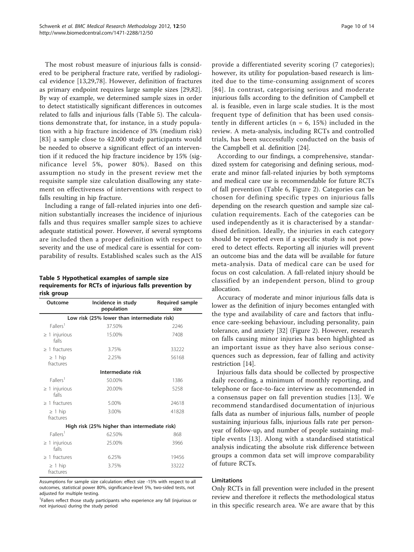The most robust measure of injurious falls is considered to be peripheral fracture rate, verified by radiological evidence [[13,](#page-11-0)[29](#page-12-0)[,78](#page-13-0)]. However, definition of fractures as primary endpoint requires large sample sizes [[29,](#page-12-0)[82](#page-13-0)]. By way of example, we determined sample sizes in order to detect statistically significant differences in outcomes related to falls and injurious falls (Table 5). The calculations demonstrate that, for instance, in a study population with a hip fracture incidence of 3% (medium risk) [[83](#page-13-0)] a sample close to 42.000 study participants would be needed to observe a significant effect of an intervention if it reduced the hip fracture incidence by 15% (significance level 5%, power 80%). Based on this assumption no study in the present review met the requisite sample size calculation disallowing any statement on effectiveness of interventions with respect to falls resulting in hip fracture.

Including a range of fall-related injuries into one definition substantially increases the incidence of injurious falls and thus requires smaller sample sizes to achieve adequate statistical power. However, if several symptoms are included then a proper definition with respect to severity and the use of medical care is essential for comparability of results. Established scales such as the AIS

Table 5 Hypothetical examples of sample size requirements for RCTs of injurious falls prevention by risk group

| Outcome                     | Incidence in study<br>population              | <b>Required sample</b><br>size |
|-----------------------------|-----------------------------------------------|--------------------------------|
|                             | Low risk (25% lower than intermediate risk)   |                                |
| Fallers <sup>1</sup>        | 37.50%                                        | 2246                           |
| $\geq$ 1 injurious<br>falls | 15.00%                                        | 7408                           |
| $\geq$ 1 fractures          | 3.75%                                         | 33222                          |
| $\geq$ 1 hip<br>fractures   | 2.25%                                         | 56168                          |
|                             | Intermediate risk                             |                                |
| Fallers <sup>1</sup>        | 50.00%                                        | 1386                           |
| $\geq$ 1 injurious<br>falls | 20.00%                                        | 5258                           |
| $>1$ fractures              | 5.00%                                         | 24618                          |
| $\geq$ 1 hip<br>fractures   | 3.00%                                         | 41828                          |
|                             | High risk (25% higher than intermediate risk) |                                |
| Fallers <sup>1</sup>        | 62.50%                                        | 868                            |
| $\geq$ 1 injurious<br>falls | 25.00%                                        | 3966                           |
| $\geq$ 1 fractures          | 6.25%                                         | 19456                          |
| $\geq 1$ hip<br>fractures   | 3.75%                                         | 33222                          |

Assumptions for sample size calculation: effect size -15% with respect to all outcomes, statistical power 80%, significance-level 5%, two-sided tests, not adjusted for multiple testing.

<sup>1</sup>Fallers reflect those study participants who experience any fall (injurious or not injurious) during the study period

provide a differentiated severity scoring (7 categories); however, its utility for population-based research is limited due to the time-consuming assignment of scores [[84\]](#page-13-0). In contrast, categorising serious and moderate injurious falls according to the definition of Campbell et al. is feasible, even in large scale studies. It is the most frequent type of definition that has been used consistently in different articles ( $n = 6$ , 15%) included in the review. A meta-analysis, including RCTs and controlled trials, has been successfully conducted on the basis of the Campbell et al. definition [\[24](#page-11-0)].

According to our findings, a comprehensive, standardized system for categorising and defining serious, moderate and minor fall-related injuries by both symptoms and medical care use is recommendable for future RCTs of fall prevention (Table [6](#page-10-0), Figure [2](#page-10-0)). Categories can be chosen for defining specific types on injurious falls depending on the research question and sample size calculation requirements. Each of the categories can be used independently as it is characterised by a standardised definition. Ideally, the injuries in each category should be reported even if a specific study is not powered to detect effects. Reporting all injuries will prevent an outcome bias and the data will be available for future meta-analysis. Data of medical care can be used for focus on cost calculation. A fall-related injury should be classified by an independent person, blind to group allocation.

Accuracy of moderate and minor injurious falls data is lower as the definition of injury becomes entangled with the type and availability of care and factors that influence care-seeking behaviour, including personality, pain tolerance, and anxiety [\[32\]](#page-12-0) (Figure [2](#page-10-0)). However, research on falls causing minor injuries has been highlighted as an important issue as they have also serious consequences such as depression, fear of falling and activity restriction [[14\]](#page-11-0).

Injurious falls data should be collected by prospective daily recording, a minimum of monthly reporting, and telephone or face-to-face interview as recommended in a consensus paper on fall prevention studies [[13\]](#page-11-0). We recommend standardised documentation of injurious falls data as number of injurious falls, number of people sustaining injurious falls, injurious falls rate per personyear of follow-up, and number of people sustaining multiple events [[13\]](#page-11-0). Along with a standardised statistical analysis indicating the absolute risk difference between groups a common data set will improve comparability of future RCTs.

# Limitations

Only RCTs in fall prevention were included in the present review and therefore it reflects the methodological status in this specific research area. We are aware that by this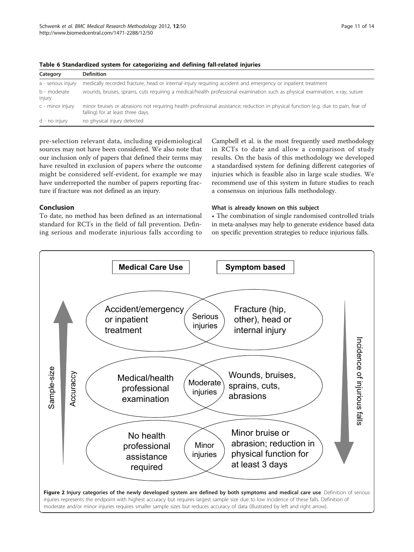| Page 11 of 14 |  |  |  |  |
|---------------|--|--|--|--|
|---------------|--|--|--|--|

| Category               | <b>Definition</b>                                                                                                                                                       |
|------------------------|-------------------------------------------------------------------------------------------------------------------------------------------------------------------------|
| a - serious injury     | medically recorded fracture, head or internal injury requiring accident and emergency or inpatient treatment                                                            |
| b - moderate<br>injury | wounds, bruises, sprains, cuts requiring a medical/health professional examination such as physical examination, x-ray, suture                                          |
| c - minor injury       | minor bruises or abrasions not requiring health professional assistance; reduction in physical function (e.g. due to pain, fear of<br>falling) for at least three days. |
| d - no injury          | no physical injury detected                                                                                                                                             |

<span id="page-10-0"></span>Table 6 Standardized system for categorizing and defining fall-related injuries

pre-selection relevant data, including epidemiological sources may not have been considered. We also note that our inclusion only of papers that defined their terms may have resulted in exclusion of papers where the outcome might be considered self-evident, for example we may have underreported the number of papers reporting fracture if fracture was not defined as an injury.

# Conclusion

To date, no method has been defined as an international standard for RCTs in the field of fall prevention. Defining serious and moderate injurious falls according to Campbell et al. is the most frequently used methodology in RCTs to date and allow a comparison of study results. On the basis of this methodology we developed a standardised system for defining different categories of injuries which is feasible also in large scale studies. We recommend use of this system in future studies to reach a consensus on injurious falls methodology.

#### What is already known on this subject

• The combination of single randomised controlled trials in meta-analyses may help to generate evidence based data on specific prevention strategies to reduce injurious falls.

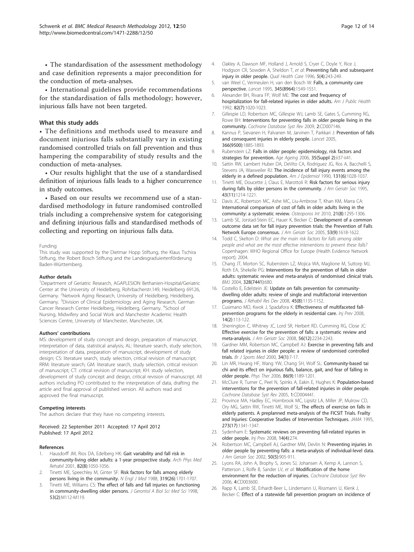<span id="page-11-0"></span>• The standardisation of the assessment methodology and case definition represents a major precondition for the conduction of meta-analyses.

• International guidelines provide recommendations for the standardisation of falls methodology; however, injurious falls have not been targeted.

#### What this study adds

• The definitions and methods used to measure and document injurious falls substantially vary in existing randomised controlled trials on fall prevention and thus hampering the comparability of study results and the conduction of meta-analyses.

• Our results highlight that the use of a standardised definition of injurious falls leads to a higher concurrence in study outcomes.

• Based on our results we recommend use of a standardised methodology in future randomised controlled trials including a comprehensive system for categorising and defining injurious falls and standardised methods of collecting and reporting on injurious falls data.

#### Funding

This study was supported by the Dietmar Hopp Stiftung, the Klaus Tschira Stiftung, the Robert Bosch Stiftung and the Landesgraduiertenförderung Baden-Württemberg.

#### Author details

1 Department of Geriatric Research, AGAPLESION Bethanien-Hospital/Geriatric Center at the University of Heidelberg, Rohrbacherstr.149, Heidelberg 69126, Germany. <sup>2</sup>Network Aging Research, University of Heidelberg, Heidelberg, Germany. <sup>3</sup>Division of Clinical Epidemiology and Aging Research, German Cancer Research Center Heidelberg, Heidelberg, Germany. <sup>4</sup>School of Nursing, Midwifery and Social Work and Manchester Academic Health Sciences Centre, University of Manchester, Manchester, UK.

#### Authors' contributions

MS: development of study concept and design, preparation of manuscript, interpretation of data, statistical analysis; AL: literature search, study selection, interpretation of data, preparation of manuscript, development of study design; CS: literature search, study selection, critical revision of manuscript; RRM: literature search; GM: literature search, study selection, critical revision of manuscript; CT: critical revision of manuscript; KH: study selection, development of study concept and design, critical revision of manuscript. All authors including PO contributed to the interpretation of data, drafting the article and final approval of published version. All authors read and approved the final manuscript.

#### Competing interests

The authors declare that they have no competing interests.

Received: 22 September 2011 Accepted: 17 April 2012 Published: 17 April 2012

#### References

- Hausdorff JM, Rios DA, Edelberg HK: [Gait variability and fall risk in](http://www.ncbi.nlm.nih.gov/pubmed/11494184?dopt=Abstract) [community-living older adults: a 1-year prospective study.](http://www.ncbi.nlm.nih.gov/pubmed/11494184?dopt=Abstract) Arch Phys Med Rehabil 2001, 82(8):1050-1056.
- 2. Tinetti ME, Speechley M, Ginter SF: [Risk factors for falls among elderly](http://www.ncbi.nlm.nih.gov/pubmed/3205267?dopt=Abstract) [persons living in the community.](http://www.ncbi.nlm.nih.gov/pubmed/3205267?dopt=Abstract) N Engl J Med 1988, 319(26):1701-1707.
- Tinetti ME, Williams CS: [The effect of falls and fall injuries on functioning](http://www.ncbi.nlm.nih.gov/pubmed/9520917?dopt=Abstract) [in community-dwelling older persons.](http://www.ncbi.nlm.nih.gov/pubmed/9520917?dopt=Abstract) J Gerontol A Biol Sci Med Sci 1998, 53(2):M112-M119.
- 4. Oakley A, Dawson MF, Holland J, Arnold S, Cryer C, Doyle Y, Rice J, Hodgson CR, Sowden A, Sheldon T, et al: [Preventing falls and subsequent](http://www.ncbi.nlm.nih.gov/pubmed/10164150?dopt=Abstract) [injury in older people.](http://www.ncbi.nlm.nih.gov/pubmed/10164150?dopt=Abstract) Qual Health Care 1996, 5(4):243-249.
- 5. van Weel C, Vermeulen H, van den Bosch W: [Falls, a community care](http://www.ncbi.nlm.nih.gov/pubmed/7791442?dopt=Abstract) [perspective.](http://www.ncbi.nlm.nih.gov/pubmed/7791442?dopt=Abstract) Lancet 1995, 345(8964):1549-1551.
- 6. Alexander BH, Rivara FP, Wolf ME: [The cost and frequency of](http://www.ncbi.nlm.nih.gov/pubmed/1609903?dopt=Abstract) [hospitalization for fall-related injuries in older adults.](http://www.ncbi.nlm.nih.gov/pubmed/1609903?dopt=Abstract) Am J Public Health 1992, 82(7):1020-1023.
- 7. Gillespie LD, Robertson MC, Gillespie WJ, Lamb SE, Gates S, Cumming RG, Rowe BH: [Interventions for preventing falls in older people living in the](http://www.ncbi.nlm.nih.gov/pubmed/19370674?dopt=Abstract) [community.](http://www.ncbi.nlm.nih.gov/pubmed/19370674?dopt=Abstract) Cochrane Database Syst Rev 2009, 2:CD007146.
- 8. Kannus P, Sievanen H, Palvanen M, Jarvinen T, Parkkari J: [Prevention of falls](http://www.ncbi.nlm.nih.gov/pubmed/16310556?dopt=Abstract) [and consequent injuries in elderly people.](http://www.ncbi.nlm.nih.gov/pubmed/16310556?dopt=Abstract) Lancet 2005, 366(9500):1885-1893.
- 9. Rubenstein LZ: [Falls in older people: epidemiology, risk factors and](http://www.ncbi.nlm.nih.gov/pubmed/16926202?dopt=Abstract) [strategies for prevention.](http://www.ncbi.nlm.nih.gov/pubmed/16926202?dopt=Abstract) Age Ageing 2006, 35(Suppl 2):ii37-ii41.
- 10. Sattin RW, Lambert Huber DA, DeVito CA, Rodriguez JG, Ros A, Bacchelli S, Stevens JA, Waxweiler RJ: [The incidence of fall injury events among the](http://www.ncbi.nlm.nih.gov/pubmed/2343855?dopt=Abstract) [elderly in a defined population.](http://www.ncbi.nlm.nih.gov/pubmed/2343855?dopt=Abstract) Am J Epidemiol 1990, 131(6):1028-1037.
- 11. Tinetti ME, Doucette J, Claus E, Marottoli R: [Risk factors for serious injury](http://www.ncbi.nlm.nih.gov/pubmed/7594154?dopt=Abstract) [during falls by older persons in the community.](http://www.ncbi.nlm.nih.gov/pubmed/7594154?dopt=Abstract) J Am Geriatr Soc 1995, 43(11):1214-1221.
- 12. Davis JC, Robertson MC, Ashe MC, Liu-Ambrose T, Khan KM, Marra CA: [International comparison of cost of falls in older adults living in the](http://www.ncbi.nlm.nih.gov/pubmed/20195846?dopt=Abstract) [community: a systematic review.](http://www.ncbi.nlm.nih.gov/pubmed/20195846?dopt=Abstract) Osteoporos Int 2010, 21(8):1295-1306.
- 13. Lamb SE, Jorstad-Stein EC, Hauer K, Becker C: [Development of a common](http://www.ncbi.nlm.nih.gov/pubmed/16137297?dopt=Abstract) [outcome data set for fall injury prevention trials: the Prevention of Falls](http://www.ncbi.nlm.nih.gov/pubmed/16137297?dopt=Abstract) [Network Europe consensus.](http://www.ncbi.nlm.nih.gov/pubmed/16137297?dopt=Abstract) J Am Geriatr Soc 2005, 53(9):1618-1622.
- 14. Todd C, Skelton D: What are the main risk factors for falls among older people and what are the most effective interventions to prevent these falls? Copenhagen: WHO Regional Office for Europe (Health Evidence Network report); 2004.
- 15. Chang JT, Morton SC, Rubenstein LZ, Mojica WA, Maglione M, Suttorp MJ, Roth EA, Shekelle PG: [Interventions for the prevention of falls in older](http://www.ncbi.nlm.nih.gov/pubmed/15031239?dopt=Abstract) [adults: systematic review and meta-analysis of randomised clinical trials.](http://www.ncbi.nlm.nih.gov/pubmed/15031239?dopt=Abstract) BMJ 2004, 328(7441):680.
- 16. Costello E, Edelstein JE: [Update on falls prevention for community](http://www.ncbi.nlm.nih.gov/pubmed/19235116?dopt=Abstract)[dwelling older adults: review of single and multifactorial intervention](http://www.ncbi.nlm.nih.gov/pubmed/19235116?dopt=Abstract) [programs.](http://www.ncbi.nlm.nih.gov/pubmed/19235116?dopt=Abstract) J Rehabil Res Dev 2008, 45(8):1135-1152.
- 17. Cusimano MD, Kwok J, Spadafora K: [Effectiveness of multifaceted fall](http://www.ncbi.nlm.nih.gov/pubmed/18388232?dopt=Abstract)[prevention programs for the elderly in residential care.](http://www.ncbi.nlm.nih.gov/pubmed/18388232?dopt=Abstract) Inj Prev 2008, 14(2):113-122.
- 18. Sherrington C, Whitney JC, Lord SR, Herbert RD, Cumming RG, Close JC: [Effective exercise for the prevention of falls: a systematic review and](http://www.ncbi.nlm.nih.gov/pubmed/19093923?dopt=Abstract) [meta-analysis.](http://www.ncbi.nlm.nih.gov/pubmed/19093923?dopt=Abstract) J Am Geriatr Soc 2008, 56(12):2234-2243.
- 19. Gardner MM, Robertson MC, Campbell AJ: [Exercise in preventing falls and](http://www.ncbi.nlm.nih.gov/pubmed/10690444?dopt=Abstract) [fall related injuries in older people: a review of randomised controlled](http://www.ncbi.nlm.nih.gov/pubmed/10690444?dopt=Abstract) [trials.](http://www.ncbi.nlm.nih.gov/pubmed/10690444?dopt=Abstract) Br J Sports Med 2000, 34(1):7-17.
- 20. Lin MR, Hwang HF, Wang YW, Chang SH, Wolf SL: [Community-based tai](http://www.ncbi.nlm.nih.gov/pubmed/16959668?dopt=Abstract) [chi and its effect on injurious falls, balance, gait, and fear of falling in](http://www.ncbi.nlm.nih.gov/pubmed/16959668?dopt=Abstract) [older people.](http://www.ncbi.nlm.nih.gov/pubmed/16959668?dopt=Abstract) Phys Ther 2006, 86(9):1189-1201.
- 21. McClure R, Turner C, Peel N, Spinks A, Eakin E, Hughes K: [Population-based](http://www.ncbi.nlm.nih.gov/pubmed/15674948?dopt=Abstract) [interventions for the prevention of fall-related injuries in older people.](http://www.ncbi.nlm.nih.gov/pubmed/15674948?dopt=Abstract) Cochrane Database Syst Rev 2005, 1:CD004441.
- 22. Province MA, Hadley EC, Hornbrook MC, Lipsitz LA, Miller JP, Mulrow CD, Ory MG, Sattin RW, Tinetti ME, Wolf SL: [The effects of exercise on falls in](http://www.ncbi.nlm.nih.gov/pubmed/7715058?dopt=Abstract) [elderly patients. A preplanned meta-analysis of the FICSIT Trials. Frailty](http://www.ncbi.nlm.nih.gov/pubmed/7715058?dopt=Abstract) [and Injuries: Cooperative Studies of Intervention Techniques.](http://www.ncbi.nlm.nih.gov/pubmed/7715058?dopt=Abstract) JAMA 1995, 273(17):1341-1347.
- 23. Sydenham E: [Systematic reviews on preventing fall-related injuries in](http://www.ncbi.nlm.nih.gov/pubmed/18676789?dopt=Abstract) [older people.](http://www.ncbi.nlm.nih.gov/pubmed/18676789?dopt=Abstract) Inj Prev 2008, 14(4):274.
- 24. Robertson MC, Campbell AJ, Gardner MM, Devlin N: [Preventing injuries in](http://www.ncbi.nlm.nih.gov/pubmed/12028179?dopt=Abstract) [older people by preventing falls: a meta-analysis of individual-level data.](http://www.ncbi.nlm.nih.gov/pubmed/12028179?dopt=Abstract) J Am Geriatr Soc 2002, 50(5):905-911
- 25. Lyons RA, John A, Brophy S, Jones SJ, Johansen A, Kemp A, Lannon S, Patterson J, Rolfe B, Sander LV, et al: [Modification of the home](http://www.ncbi.nlm.nih.gov/pubmed/17054179?dopt=Abstract) [environment for the reduction of injuries.](http://www.ncbi.nlm.nih.gov/pubmed/17054179?dopt=Abstract) Cochrane Database Syst Rev 2006, 4:CD003600.
- 26. Rapp K, Lamb SE, Erhardt-Beer L, Lindemann U, Rissmann U, Klenk J, Becker C: [Effect of a statewide fall prevention program on incidence of](http://www.ncbi.nlm.nih.gov/pubmed/20002505?dopt=Abstract)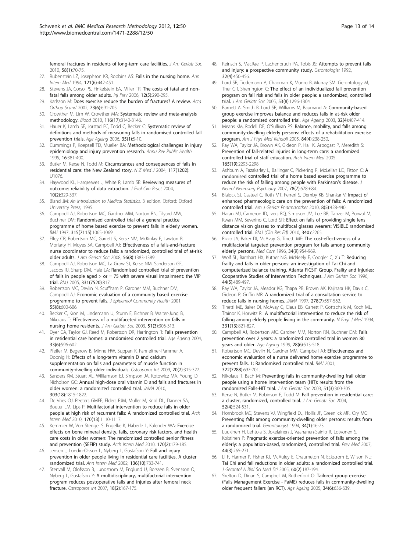<span id="page-12-0"></span>[femoral fractures in residents of long-term care facilities.](http://www.ncbi.nlm.nih.gov/pubmed/20002505?dopt=Abstract) J Am Geriatr Soc 2010, 58(1):70-75.

- 27. Rubenstein LZ, Josephson KR, Robbins AS: [Falls in the nursing home.](http://www.ncbi.nlm.nih.gov/pubmed/8053619?dopt=Abstract) Ann Intern Med 1994, 121(6):442-451.
- 28. Stevens JA, Corso PS, Finkelstein EA, Miller TR: [The costs of fatal and non](http://www.ncbi.nlm.nih.gov/pubmed/17018668?dopt=Abstract)[fatal falls among older adults.](http://www.ncbi.nlm.nih.gov/pubmed/17018668?dopt=Abstract) Inj Prev 2006, 12(5):290-295.
- 29. Karlsson M: [Does exercise reduce the burden of fractures? A review.](http://www.ncbi.nlm.nih.gov/pubmed/12553521?dopt=Abstract) Acta Orthop Scand 2002, 73(6):691-705.
- 30. Crowther M, Lim W, Crowther MA: [Systematic review and meta-analysis](http://www.ncbi.nlm.nih.gov/pubmed/20656933?dopt=Abstract) [methodology.](http://www.ncbi.nlm.nih.gov/pubmed/20656933?dopt=Abstract) Blood 2010, 116(17):3140-3146.
- 31. Hauer K, Lamb SE, Jorstad EC, Todd C, Becker C: [Systematic review of](http://www.ncbi.nlm.nih.gov/pubmed/16364930?dopt=Abstract) [definitions and methods of measuring falls in randomised controlled fall](http://www.ncbi.nlm.nih.gov/pubmed/16364930?dopt=Abstract) [prevention trials.](http://www.ncbi.nlm.nih.gov/pubmed/16364930?dopt=Abstract) Age Ageing 2006, 35(1):5-10.
- 32. Cummings P, Koepsell TD, Mueller BA: [Methodological challenges in injury](http://www.ncbi.nlm.nih.gov/pubmed/7639878?dopt=Abstract) [epidemiology and injury prevention research.](http://www.ncbi.nlm.nih.gov/pubmed/7639878?dopt=Abstract) Annu Rev Public Health 1995, 16:381-400.
- 33. Butler M, Kerse N, Todd M: [Circumstances and consequences of falls in](http://www.ncbi.nlm.nih.gov/pubmed/15477905?dopt=Abstract) [residential care: the New Zealand story.](http://www.ncbi.nlm.nih.gov/pubmed/15477905?dopt=Abstract) N Z Med J 2004, 117(1202): U1076.
- 34. Haywood KL, Hargreaves J, White R, Lamb SE: [Reviewing measures of](http://www.ncbi.nlm.nih.gov/pubmed/15189399?dopt=Abstract) [outcome: reliability of data extraction.](http://www.ncbi.nlm.nih.gov/pubmed/15189399?dopt=Abstract) J Eval Clin Pract 2004, 10(2):329-337.
- 35. Bland JM: An Introduction to Medical Statistics. 3 edition. Oxford: Oxford University Press; 1995.
- 36. Campbell AJ, Robertson MC, Gardner MM, Norton RN, Tilyard MW, Buchner DM: [Randomised controlled trial of a general practice](http://www.ncbi.nlm.nih.gov/pubmed/9366737?dopt=Abstract) [programme of home based exercise to prevent falls in elderly women.](http://www.ncbi.nlm.nih.gov/pubmed/9366737?dopt=Abstract) BMJ 1997, 315(7115):1065-1069.
- 37. Elley CR, Robertson MC, Garrett S, Kerse NM, McKinlay E, Lawton B, Moriarty H, Moyes SA, Campbell AJ: [Effectiveness of a falls-and-fracture](http://www.ncbi.nlm.nih.gov/pubmed/18808597?dopt=Abstract) [nurse coordinator to reduce falls: a randomized, controlled trial of at-risk](http://www.ncbi.nlm.nih.gov/pubmed/18808597?dopt=Abstract) [older adults.](http://www.ncbi.nlm.nih.gov/pubmed/18808597?dopt=Abstract) J Am Geriatr Soc 2008, 56(8):1383-1389.
- 38. Campbell AJ, Robertson MC, La Grow SJ, Kerse NM, Sanderson GF, Jacobs RJ, Sharp DM, Hale LA: [Randomised controlled trial of prevention](http://www.ncbi.nlm.nih.gov/pubmed/16183652?dopt=Abstract) of falls in people aged  $>$  or = 75 with severe visual impairment: the VIP [trial.](http://www.ncbi.nlm.nih.gov/pubmed/16183652?dopt=Abstract) BMJ 2005, 331(7520):817.
- 39. Robertson MC, Devlin N, Scuffham P, Gardner MM, Buchner DM, Campbell AJ: [Economic evaluation of a community based exercise](http://www.ncbi.nlm.nih.gov/pubmed/11449021?dopt=Abstract) [programme to prevent falls.](http://www.ncbi.nlm.nih.gov/pubmed/11449021?dopt=Abstract) J Epidemiol Community Health 2001, 55(8):600-606.
- 40. Becker C, Kron M, Lindemann U, Sturm E, Eichner B, Walter-Jung B, Nikolaus T: [Effectiveness of a multifaceted intervention on falls in](http://www.ncbi.nlm.nih.gov/pubmed/12588573?dopt=Abstract) nursing [home residents.](http://www.ncbi.nlm.nih.gov/pubmed/12588573?dopt=Abstract) J Am Geriatr Soc 2003, 51(3):306-313.
- 41. Dyer CA, Taylor GJ, Reed M, Robertson DR, Harrington R: [Falls prevention](http://www.ncbi.nlm.nih.gov/pubmed/15381507?dopt=Abstract) [in residential care homes: a randomised controlled trial.](http://www.ncbi.nlm.nih.gov/pubmed/15381507?dopt=Abstract) Age Ageing 2004, 33(6):596-602.
- 42. Pfeifer M, Begerow B, Minne HW, Suppan K, Fahrleitner-Pammer A, Dobnig H: [Effects of a long-term vitamin D and calcium](http://www.ncbi.nlm.nih.gov/pubmed/18629569?dopt=Abstract) [supplementation on falls and parameters of muscle function in](http://www.ncbi.nlm.nih.gov/pubmed/18629569?dopt=Abstract) [community-dwelling older individuals.](http://www.ncbi.nlm.nih.gov/pubmed/18629569?dopt=Abstract) Osteoporos Int 2009, 20(2):315-322.
- 43. Sanders KM, Stuart AL, Williamson EJ, Simpson JA, Kotowicz MA, Young D, Nicholson GC: [Annual high-dose oral vitamin D and falls and fractures in](http://www.ncbi.nlm.nih.gov/pubmed/20460620?dopt=Abstract) [older women: a randomized controlled trial.](http://www.ncbi.nlm.nih.gov/pubmed/20460620?dopt=Abstract) JAMA 2010, 303(18):1815-1822.
- 44. De Vries OJ, Peeters GMEE, Elders PJM, Muller M, Knol DL, Danner SA, Bouter LM, Lips P: [Multifactorial intervention to reduce falls in older](http://www.ncbi.nlm.nih.gov/pubmed/20625015?dopt=Abstract) [people at high risk of recurrent falls: A randomized controlled trial.](http://www.ncbi.nlm.nih.gov/pubmed/20625015?dopt=Abstract) Arch Intern Med 2010, 170(13):1110-1117.
- 45. Kemmler W, Von Stengel S, Engelke K, Haberle L, Kalender WA: [Exercise](http://www.ncbi.nlm.nih.gov/pubmed/20101013?dopt=Abstract) [effects on bone mineral density, falls, coronary risk factors, and health](http://www.ncbi.nlm.nih.gov/pubmed/20101013?dopt=Abstract) [care costs in older women: The randomized controlled senior fitness](http://www.ncbi.nlm.nih.gov/pubmed/20101013?dopt=Abstract) [and prevention \(SEFIP\) study.](http://www.ncbi.nlm.nih.gov/pubmed/20101013?dopt=Abstract) Arch Intern Med 2010, 170(2):179-185.
- 46. Jensen J, Lundin-Olsson L, Nyberg L, Gustafson Y: [Fall and injury](http://www.ncbi.nlm.nih.gov/pubmed/12020141?dopt=Abstract) [prevention in older people living in residential care facilities. A cluster](http://www.ncbi.nlm.nih.gov/pubmed/12020141?dopt=Abstract) [randomized trial.](http://www.ncbi.nlm.nih.gov/pubmed/12020141?dopt=Abstract) Ann Intern Med 2002, 136(10):733-741.
- 47. Stenvall M, Olofsson B, Lundstrom M, Englund U, Borssen B, Svensson O, Nyberg L, Gustafson Y: [A multidisciplinary, multifactorial intervention](http://www.ncbi.nlm.nih.gov/pubmed/17061151?dopt=Abstract) [program reduces postoperative falls and injuries after femoral neck](http://www.ncbi.nlm.nih.gov/pubmed/17061151?dopt=Abstract) [fracture.](http://www.ncbi.nlm.nih.gov/pubmed/17061151?dopt=Abstract) Osteoporos Int 2007, 18(2):167-175.
- 48. Reinsch S, MacRae P, Lachenbruch PA, Tobis JS: [Attempts to prevent falls](http://www.ncbi.nlm.nih.gov/pubmed/1427246?dopt=Abstract) [and injury: a prospective community study.](http://www.ncbi.nlm.nih.gov/pubmed/1427246?dopt=Abstract) Gerontologist 1992, 32(4):450-456.
- 49. Lord SR, Tiedemann A, Chapman K, Munro B, Murray SM, Gerontology M, Ther GR, Sherrington C: [The effect of an individualized fall prevention](http://www.ncbi.nlm.nih.gov/pubmed/16078954?dopt=Abstract) [program on fall risk and falls in older people: a randomized, controlled](http://www.ncbi.nlm.nih.gov/pubmed/16078954?dopt=Abstract) [trial.](http://www.ncbi.nlm.nih.gov/pubmed/16078954?dopt=Abstract) J Am Geriatr Soc 2005, 53(8):1296-1304.
- 50. Barnett A, Smith B, Lord SR, Williams M, Baumand A: [Community-based](http://www.ncbi.nlm.nih.gov/pubmed/12851185?dopt=Abstract) [group exercise improves balance and reduces falls in at-risk older](http://www.ncbi.nlm.nih.gov/pubmed/12851185?dopt=Abstract) [people: a randomised controlled trial.](http://www.ncbi.nlm.nih.gov/pubmed/12851185?dopt=Abstract) Age Ageing 2003, 32(4):407-414.
- 51. Means KM, Rodell DE, O'Sullivan PS: [Balance, mobility, and falls among](http://www.ncbi.nlm.nih.gov/pubmed/15785256?dopt=Abstract) [community-dwelling elderly persons: effects of a rehabilitation exercise](http://www.ncbi.nlm.nih.gov/pubmed/15785256?dopt=Abstract) [program.](http://www.ncbi.nlm.nih.gov/pubmed/15785256?dopt=Abstract) Am J Phys Med Rehabil 2005, 84(4):238-250.
- Ray WA, Taylor JA, Brown AK, Gideon P, Hall K, Arbogast P, Meredith S: [Prevention of fall-related injuries in long-term care: a randomized](http://www.ncbi.nlm.nih.gov/pubmed/16246997?dopt=Abstract) [controlled trial of staff education.](http://www.ncbi.nlm.nih.gov/pubmed/16246997?dopt=Abstract) Arch Intern Med 2005, 165(19):2293-2298.
- 53. Ashburn A, Fazakarley L, Ballinger C, Pickering R, McLellan LD, Fitton C: [A](http://www.ncbi.nlm.nih.gov/pubmed/17119004?dopt=Abstract) randomised [controlled trial of a home based exercise programme to](http://www.ncbi.nlm.nih.gov/pubmed/17119004?dopt=Abstract) [reduce the risk of falling among people with Parkinson](http://www.ncbi.nlm.nih.gov/pubmed/17119004?dopt=Abstract)'s disease. J Neurol Neurosurg Psychiatry 2007, 78(7):678-684.
- 54. Blalock SJ, Casteel C, Roth MT, Ferreri S, Demby KB, Shankar V: [Impact of](http://www.ncbi.nlm.nih.gov/pubmed/21335296?dopt=Abstract) [enhanced pharmacologic care on the prevention of falls: A randomized](http://www.ncbi.nlm.nih.gov/pubmed/21335296?dopt=Abstract) [controlled trial.](http://www.ncbi.nlm.nih.gov/pubmed/21335296?dopt=Abstract) Am J Geriatr Pharmacother 2010, 8(5):428-440.
- 55. Haran MJ, Cameron ID, Ivers RQ, Simpson JM, Lee BB, Tanzer M, Porwal M, Kwan MM, Severino C, Lord SR: Effect on falls of providing single lens distance vision glasses to multifocal glasses wearers: VISIBLE randomised controlled trial. BMJ (Clin Res Ed) 2010, 340:c2265.
- 56. Rizzo JA, Baker DI, McAvay G, Tinetti ME: [The cost-effectiveness of a](http://www.ncbi.nlm.nih.gov/pubmed/8792783?dopt=Abstract) [multifactorial targeted prevention program for falls among community](http://www.ncbi.nlm.nih.gov/pubmed/8792783?dopt=Abstract) [elderly persons.](http://www.ncbi.nlm.nih.gov/pubmed/8792783?dopt=Abstract) Med Care 1996, 34(9):954-969.
- Wolf SL, Barnhart HX, Kutner NG, McNeely E, Coogler C, Xu T: [Reducing](http://www.ncbi.nlm.nih.gov/pubmed/8617895?dopt=Abstract) [frailty and falls in older persons: an investigation of Tai Chi and](http://www.ncbi.nlm.nih.gov/pubmed/8617895?dopt=Abstract) [computerized balance training. Atlanta FICSIT Group. Frailty and Injuries:](http://www.ncbi.nlm.nih.gov/pubmed/8617895?dopt=Abstract) [Cooperative Studies of Intervention Techniques.](http://www.ncbi.nlm.nih.gov/pubmed/8617895?dopt=Abstract) J Am Geriatr Soc 1996, 44(5):489-497.
- 58. Ray WA, Taylor JA, Meador KG, Thapa PB, Brown AK, Kajihara HK, Davis C, Gideon P, Griffin MR: [A randomized trial of a consultation service to](http://www.ncbi.nlm.nih.gov/pubmed/9268276?dopt=Abstract) [reduce falls in nursing homes.](http://www.ncbi.nlm.nih.gov/pubmed/9268276?dopt=Abstract) JAMA 1997, 278(7):557-562.
- 59. Tinetti ME, Baker DI, McAvay G, Claus EB, Garrett P, Gottschalk M, Koch ML, Trainor K, Horwitz RI: [A multifactorial intervention to reduce the risk of](http://www.ncbi.nlm.nih.gov/pubmed/8078528?dopt=Abstract) [falling among elderly people living in the community.](http://www.ncbi.nlm.nih.gov/pubmed/8078528?dopt=Abstract) N Engl J Med 1994, 331(13):821-827.
- 60. Campbell AJ, Robertson MC, Gardner MM, Norton RN, Buchner DM: [Falls](http://www.ncbi.nlm.nih.gov/pubmed/10604501?dopt=Abstract) [prevention over 2 years: a randomized controlled trial in women 80](http://www.ncbi.nlm.nih.gov/pubmed/10604501?dopt=Abstract) [years and older.](http://www.ncbi.nlm.nih.gov/pubmed/10604501?dopt=Abstract) Age Ageing 1999, 28(6):513-518.
- 61. Robertson MC, Devlin N, Gardner MM, Campbell AJ: [Effectiveness and](http://www.ncbi.nlm.nih.gov/pubmed/11264206?dopt=Abstract) [economic evaluation of a nurse delivered home exercise programme to](http://www.ncbi.nlm.nih.gov/pubmed/11264206?dopt=Abstract) [prevent falls. 1: Randomised controlled trial.](http://www.ncbi.nlm.nih.gov/pubmed/11264206?dopt=Abstract) BMJ 2001, 322(7288):697-701.
- 62. Nikolaus T, Bach M: [Preventing falls in community-dwelling frail older](http://www.ncbi.nlm.nih.gov/pubmed/12588572?dopt=Abstract) [people using a home intervention team \(HIT\): results from the](http://www.ncbi.nlm.nih.gov/pubmed/12588572?dopt=Abstract) [randomized Falls-HIT trial.](http://www.ncbi.nlm.nih.gov/pubmed/12588572?dopt=Abstract) J Am Geriatr Soc 2003, 51(3):300-305.
- 63. Kerse N, Butler M, Robinson E, Todd M: [Fall prevention in residential care:](http://www.ncbi.nlm.nih.gov/pubmed/15066066?dopt=Abstract) [a cluster, randomized, controlled trial.](http://www.ncbi.nlm.nih.gov/pubmed/15066066?dopt=Abstract) J Am Geriatr Soc 2004, 52(4):524-531.
- 64. Hornbrook MC, Stevens VJ, Wingfield DJ, Hollis JF, Greenlick MR, Ory MG: [Preventing falls among community-dwelling older persons: results from](http://www.ncbi.nlm.nih.gov/pubmed/8150304?dopt=Abstract) [a randomized trial.](http://www.ncbi.nlm.nih.gov/pubmed/8150304?dopt=Abstract) Gerontologist 1994, 34(1):16-23.
- 65. Luukinen H, Lehtola S, Jokelainen J, Vaananen-Sainio R, Lotvonen S, Koistinen P: [Pragmatic exercise-oriented prevention of falls among the](http://www.ncbi.nlm.nih.gov/pubmed/17174387?dopt=Abstract) [elderly: a population-based, randomized, controlled trial.](http://www.ncbi.nlm.nih.gov/pubmed/17174387?dopt=Abstract) Prev Med 2007, 44(3):265-271.
- 66. Li F, Harmer P, Fisher KJ, McAuley E, Chaumeton N, Eckstrom E, Wilson NL: [Tai Chi and fall reductions in older adults: a randomized controlled trial.](http://www.ncbi.nlm.nih.gov/pubmed/15814861?dopt=Abstract) J Gerontol A Biol Sci Med Sci 2005, 60(2):187-194.
- 67. Skelton D, Dinan S, Campbell M, Rutherford O: [Tailored group exercise](http://www.ncbi.nlm.nih.gov/pubmed/16267192?dopt=Abstract) [\(Falls Management Exercise - FaME\) reduces falls in community-dwelling](http://www.ncbi.nlm.nih.gov/pubmed/16267192?dopt=Abstract) [older frequent fallers \(an RCT\).](http://www.ncbi.nlm.nih.gov/pubmed/16267192?dopt=Abstract) Age Ageing 2005, 34(6):636-639.